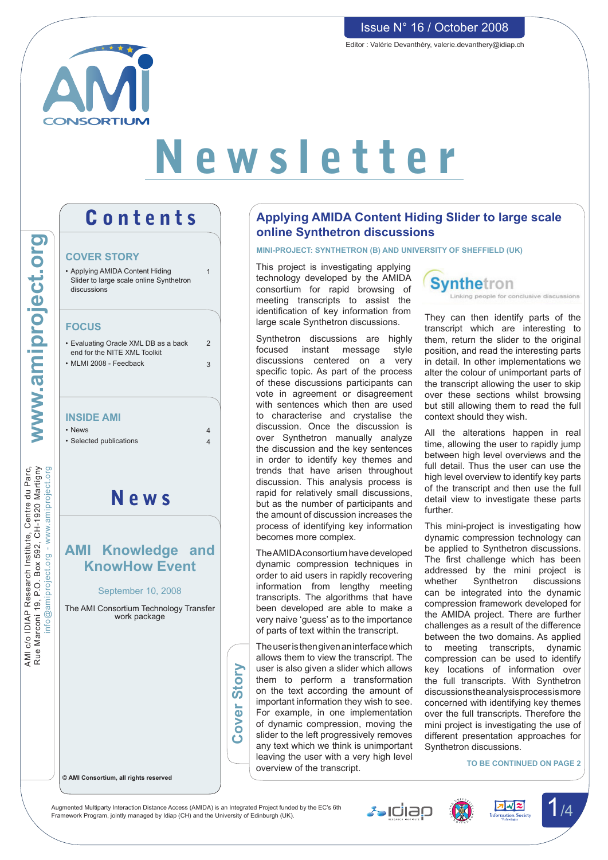

# Newsletter

# Contents

#### **COVER STORY**

|                                                                                                                                            | <b>COVER STORY</b><br>• Applying AMIDA Content Hiding<br>Slider to large scale online Synthetron<br>discussions                  | $\overline{1}$                   |
|--------------------------------------------------------------------------------------------------------------------------------------------|----------------------------------------------------------------------------------------------------------------------------------|----------------------------------|
| www.amiproject.org                                                                                                                         | <b>FOCUS</b><br>• Evaluating Oracle XML DB as a back<br>end for the NITE XML Toolkit<br>• MLMI 2008 - Feedback                   | $\overline{2}$<br>3              |
|                                                                                                                                            | <b>INSIDE AMI</b><br>• News<br>· Selected publications                                                                           | $\overline{4}$<br>$\overline{4}$ |
| <b>JIBL DD BIIBC, BIDJISIL IN BBSBY LKI/DI D^C IMF</b><br>nfo@amiproject.org - www.amiproject<br>Rue Marconi 19. P.O. Box 592. CH-1920 Mar | News                                                                                                                             |                                  |
|                                                                                                                                            | <b>AMI Knowledge and</b><br><b>KnowHow Event</b><br>September 10, 2008<br>The AMI Consortium Technology Transfer<br>work package |                                  |

AMI c/o IDIAP Research Institute, Centre du Parc, Rue Marconi 19, P.O. Box 592, CH-1920 Martigny

AMI c/o IDIAP Research Institute, Centre du Parc,<br>Rue Marconi 19, P.O. Box 592, CH-1920 Martigny

**© AMI Consortium, all rights reserved**

## **Applying AMIDA Content Hiding Slider to large scale online Synthetron discussions**

#### **Mini-project: Synthetron (B) and University of Sheffield (UK)**

This project is investigating applying technology developed by the AMIDA consortium for rapid browsing of meeting transcripts to assist the identification of key information from large scale Synthetron discussions.

Synthetron discussions are highly focused instant message style discussions centered on a very specific topic. As part of the process of these discussions participants can vote in agreement or disagreement with sentences which then are used to characterise and crystalise the discussion. Once the discussion is over Synthetron manually analyze the discussion and the key sentences in order to identify key themes and trends that have arisen throughout discussion. This analysis process is rapid for relatively small discussions, but as the number of participants and the amount of discussion increases the process of identifying key information becomes more complex.

TheAMIDAconsortium have developed dynamic compression techniques in order to aid users in rapidly recovering information from lengthy meeting transcripts. The algorithms that have been developed are able to make a very naive 'guess' as to the importance of parts of text within the transcript.

Theuseristhengivenaninterfacewhich allows them to view the transcript. The user is also given a slider which allows them to perform a transformation on the text according the amount of important information they wish to see. For example, in one implementation of dynamic compression, moving the slider to the left progressively removes any text which we think is unimportant leaving the user with a very high level overview of the transcript.



They can then identify parts of the transcript which are interesting to them, return the slider to the original position, and read the interesting parts in detail. In other implementations we alter the colour of unimportant parts of the transcript allowing the user to skip over these sections whilst browsing but still allowing them to read the full context should they wish.

All the alterations happen in real time, allowing the user to rapidly jump between high level overviews and the full detail. Thus the user can use the high level overview to identify key parts of the transcript and then use the full detail view to investigate these parts further.

This mini-project is investigating how dynamic compression technology can be applied to Synthetron discussions. The first challenge which has been addressed by the mini project is whether Synthetron discussions can be integrated into the dynamic compression framework developed for the AMIDA project. There are further challenges as a result of the difference between the two domains. As applied to meeting transcripts, dynamic compression can be used to identify key locations of information over the full transcripts. With Synthetron discussionstheanalysisprocessismore concerned with identifying key themes over the full transcripts. Therefore the mini project is investigating the use of different presentation approaches for Synthetron discussions.

**To be continued on page 2**

Augmented Multiparty Interaction Distance Access (AMIDA) is an Integrated Project funded by the EC's 6th Augmented Multiparty Interaction Distance Access (AMIDA) is an Integrated Project funded by the EC's 6th<br>Framework Program, jointly managed by Idiap (CH) and the University of Edinburgh (UK).

**Cover Story**

over:

Ŏ

Story







Issue N° 16 / October 2008

Editor : Valérie Devanthéry, valerie.devanthery@idiap.ch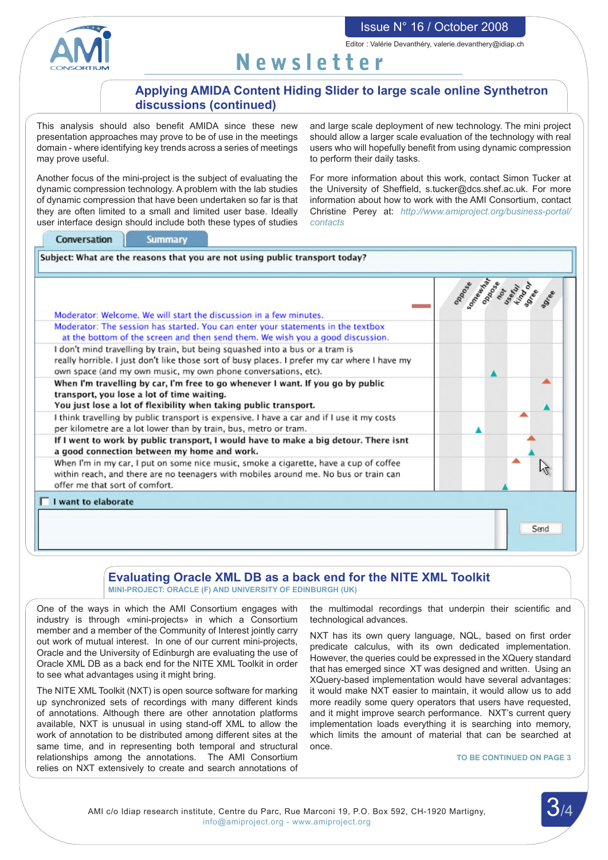Issue N° 16 / October 2008 Editor : Valérie Devanthéry, valerie.devanthery@idiap.ch

Newsletter

## **Applying AMIDA Content Hiding Slider to large scale online Synthetron discussions (continued)**

This analysis should also benefit AMIDA since these new presentation approaches may prove to be of use in the meetings domain - where identifying key trends across a series of meetings may prove useful.

Another focus of the mini-project is the subject of evaluating the dynamic compression technology. A problem with the lab studies of dynamic compression that have been undertaken so far is that they are often limited to a small and limited user base. Ideally user interface design should include both these types of studies

and large scale deployment of new technology. The mini project should allow a larger scale evaluation of the technology with real users who will hopefully benefit from using dynamic compression to perform their daily tasks.

For more information about this work, contact Simon Tucker at the University of Sheffield, s.tucker@dcs.shef.ac.uk. For more information about how to work with the AMI Consortium, contact Christine Perey at: *http://www.amiproject.org/business-portal/ contacts*

|                                                                                                                                                                                                                                                 | SOMONAWAY<br><b>PARO</b><br><b>Sext</b><br>$\mathcal{S}$<br>ind<br>$s^e$ |
|-------------------------------------------------------------------------------------------------------------------------------------------------------------------------------------------------------------------------------------------------|--------------------------------------------------------------------------|
| Moderator: Welcome. We will start the discussion in a few minutes.                                                                                                                                                                              |                                                                          |
| Moderator: The session has started. You can enter your statements in the textbox<br>at the bottom of the screen and then send them. We wish you a good discussion.                                                                              |                                                                          |
| I don't mind travelling by train, but being squashed into a bus or a tram is<br>really horrible. I just don't like those sort of busy places. I prefer my car where I have my<br>own space (and my own music, my own phone conversations, etc). |                                                                          |
| When I'm travelling by car, I'm free to go whenever I want. If you go by public<br>transport, you lose a lot of time waiting.<br>You just lose a lot of flexibility when taking public transport.                                               |                                                                          |
| I think travelling by public transport is expensive. I have a car and if I use it my costs<br>per kilometre are a lot lower than by train, bus, metro or tram.                                                                                  |                                                                          |
| If I went to work by public transport, I would have to make a big detour. There isnt<br>a good connection between my home and work.                                                                                                             |                                                                          |
| When I'm in my car, I put on some nice music, smoke a cigarette, have a cup of coffee<br>within reach, and there are no teenagers with mobiles around me. No bus or train can<br>offer me that sort of comfort.                                 |                                                                          |
| I want to elaborate                                                                                                                                                                                                                             |                                                                          |

## **Evaluating Oracle XML DB as a back end for the NITE XML Toolkit**

**Mini-project: Oracle (F) and University of Edinburgh (UK)**

One of the ways in which the AMI Consortium engages with industry is through «mini-projects» in which a Consortium member and a member of the Community of Interest jointly carry out work of mutual interest. In one of our current mini-projects, Oracle and the University of Edinburgh are evaluating the use of Oracle XML DB as a back end for the NITE XML Toolkit in order to see what advantages using it might bring.

The NITE XML Toolkit (NXT) is open source software for marking up synchronized sets of recordings with many different kinds of annotations. Although there are other annotation platforms available, NXT is unusual in using stand-off XML to allow the work of annotation to be distributed among different sites at the same time, and in representing both temporal and structural relationships among the annotations. The AMI Consortium relies on NXT extensively to create and search annotations of

the multimodal recordings that underpin their scientific and technological advances.

NXT has its own query language, NQL, based on first order predicate calculus, with its own dedicated implementation. However, the queries could be expressed in the XQuery standard that has emerged since XT was designed and written. Using an XQuery-based implementation would have several advantages: it would make NXT easier to maintain, it would allow us to add more readily some query operators that users have requested, and it might improve search performance. NXT's current query implementation loads everything it is searching into memory, which limits the amount of material that can be searched at once.

#### **To be continued on page 3**

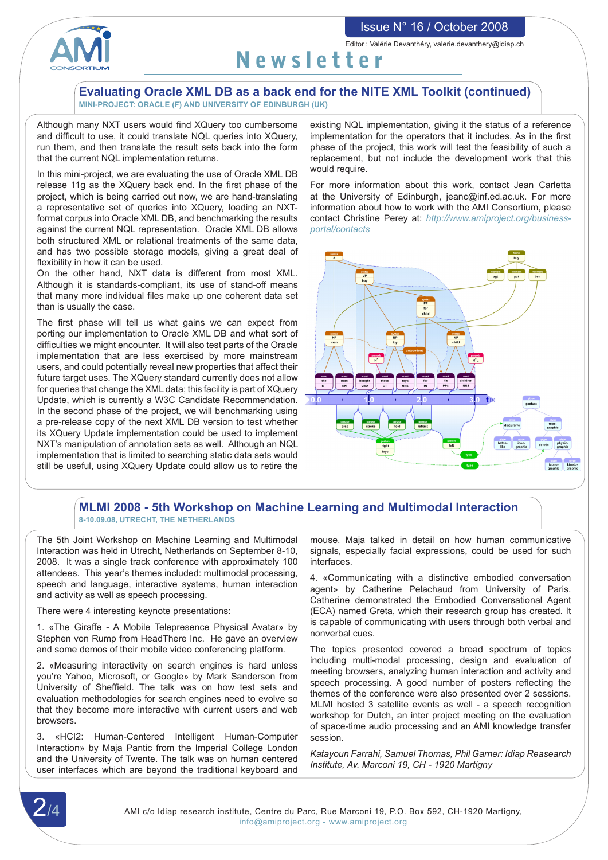#### Issue N° 16 / October 2008



Editor : Valérie Devanthéry, valerie.devanthery@idiap.ch

# Newsletter

#### **Evaluating Oracle XML DB as a back end for the NITE XML Toolkit (continued) Mini-project: Oracle (F) and University of Edinburgh (UK)**

Although many NXT users would find XQuery too cumbersome and difficult to use, it could translate NQL queries into XQuery, run them, and then translate the result sets back into the form that the current NQL implementation returns.

In this mini-project, we are evaluating the use of Oracle XML DB release 11g as the XQuery back end. In the first phase of the project, which is being carried out now, we are hand-translating a representative set of queries into XQuery, loading an NXTformat corpus into Oracle XML DB, and benchmarking the results against the current NQL representation. Oracle XML DB allows both structured XML or relational treatments of the same data, and has two possible storage models, giving a great deal of flexibility in how it can be used.

On the other hand, NXT data is different from most XML. Although it is standards-compliant, its use of stand-off means that many more individual files make up one coherent data set than is usually the case.

The first phase will tell us what gains we can expect from porting our implementation to Oracle XML DB and what sort of difficulties we might encounter. It will also test parts of the Oracle implementation that are less exercised by more mainstream users, and could potentially reveal new properties that affect their future target uses. The XQuery standard currently does not allow for queries that change the XML data; this facility is part of XQuery Update, which is currently a W3C Candidate Recommendation. In the second phase of the project, we will benchmarking using a pre-release copy of the next XML DB version to test whether its XQuery Update implementation could be used to implement NXT's manipulation of annotation sets as well. Although an NQL implementation that is limited to searching static data sets would still be useful, using XQuery Update could allow us to retire the

existing NQL implementation, giving it the status of a reference implementation for the operators that it includes. As in the first phase of the project, this work will test the feasibility of such a replacement, but not include the development work that this would require.

For more information about this work, contact Jean Carletta at the University of Edinburgh, jeanc@inf.ed.ac.uk. For more information about how to work with the AMI Consortium, please contact Christine Perey at: *http://www.amiproject.org/businessportal/contacts*



#### **MLMI 2008 - 5th Workshop on Machine Learning and Multimodal Interaction 8-10.09.08, Utrecht, The Netherlands**

The 5th Joint Workshop on Machine Learning and Multimodal Interaction was held in Utrecht, Netherlands on September 8-10, 2008. It was a single track conference with approximately 100 attendees. This year's themes included: multimodal processing, speech and language, interactive systems, human interaction and activity as well as speech processing.

There were 4 interesting keynote presentations:

1. «The Giraffe - A Mobile Telepresence Physical Avatar» by Stephen von Rump from HeadThere Inc. He gave an overview and some demos of their mobile video conferencing platform.

2. «Measuring interactivity on search engines is hard unless you're Yahoo, Microsoft, or Google» by Mark Sanderson from University of Sheffield. The talk was on how test sets and evaluation methodologies for search engines need to evolve so that they become more interactive with current users and web browsers.

3. «HCI2: Human-Centered Intelligent Human-Computer Interaction» by Maja Pantic from the Imperial College London and the University of Twente. The talk was on human centered user interfaces which are beyond the traditional keyboard and

mouse. Maja talked in detail on how human communicative signals, especially facial expressions, could be used for such interfaces.

4. «Communicating with a distinctive embodied conversation agent» by Catherine Pelachaud from University of Paris. Catherine demonstrated the Embodied Conversational Agent (ECA) named Greta, which their research group has created. It is capable of communicating with users through both verbal and nonverbal cues.

The topics presented covered a broad spectrum of topics including multi-modal processing, design and evaluation of meeting browsers, analyzing human interaction and activity and speech processing. A good number of posters reflecting the themes of the conference were also presented over 2 sessions. MLMI hosted 3 satellite events as well - a speech recognition workshop for Dutch, an inter project meeting on the evaluation of space-time audio processing and an AMI knowledge transfer session.

*Katayoun Farrahi, Samuel Thomas, Phil Garner: Idiap Reasearch Institute, Av. Marconi 19, CH - 1920 Martigny*